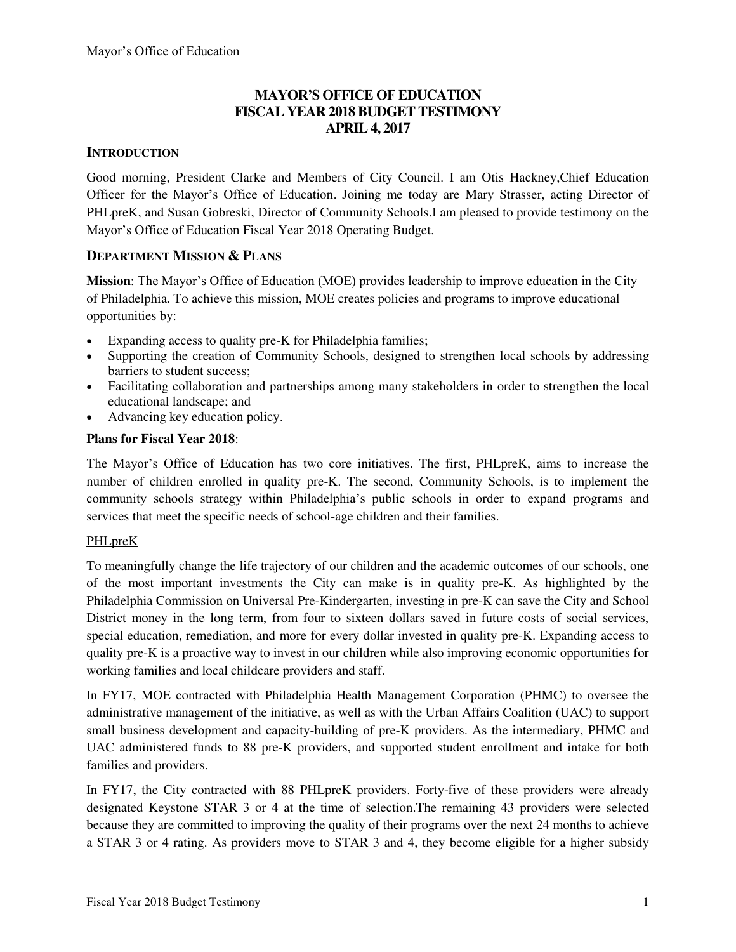# **MAYOR'S OFFICE OF EDUCATION FISCAL YEAR 2018 BUDGET TESTIMONY APRIL 4, 2017**

# **INTRODUCTION**

Good morning, President Clarke and Members of City Council. I am Otis Hackney,Chief Education Officer for the Mayor's Office of Education. Joining me today are Mary Strasser, acting Director of PHLpreK, and Susan Gobreski, Director of Community Schools.I am pleased to provide testimony on the Mayor's Office of Education Fiscal Year 2018 Operating Budget.

# **DEPARTMENT MISSION & PLANS**

**Mission**: The Mayor's Office of Education (MOE) provides leadership to improve education in the City of Philadelphia. To achieve this mission, MOE creates policies and programs to improve educational opportunities by:

- Expanding access to quality pre-K for Philadelphia families;
- Supporting the creation of Community Schools, designed to strengthen local schools by addressing barriers to student success;
- Facilitating collaboration and partnerships among many stakeholders in order to strengthen the local educational landscape; and
- Advancing key education policy.

# **Plans for Fiscal Year 2018**:

The Mayor's Office of Education has two core initiatives. The first, PHLpreK, aims to increase the number of children enrolled in quality pre-K. The second, Community Schools, is to implement the community schools strategy within Philadelphia's public schools in order to expand programs and services that meet the specific needs of school-age children and their families.

# PHLpreK

To meaningfully change the life trajectory of our children and the academic outcomes of our schools, one of the most important investments the City can make is in quality pre-K. As highlighted by the Philadelphia Commission on Universal Pre-Kindergarten, investing in pre-K can save the City and School District money in the long term, from four to sixteen dollars saved in future costs of social services, special education, remediation, and more for every dollar invested in quality pre-K. Expanding access to quality pre-K is a proactive way to invest in our children while also improving economic opportunities for working families and local childcare providers and staff.

In FY17, MOE contracted with Philadelphia Health Management Corporation (PHMC) to oversee the administrative management of the initiative, as well as with the Urban Affairs Coalition (UAC) to support small business development and capacity-building of pre-K providers. As the intermediary, PHMC and UAC administered funds to 88 pre-K providers, and supported student enrollment and intake for both families and providers.

In FY17, the City contracted with 88 PHLpreK providers. Forty-five of these providers were already designated Keystone STAR 3 or 4 at the time of selection.The remaining 43 providers were selected because they are committed to improving the quality of their programs over the next 24 months to achieve a STAR 3 or 4 rating. As providers move to STAR 3 and 4, they become eligible for a higher subsidy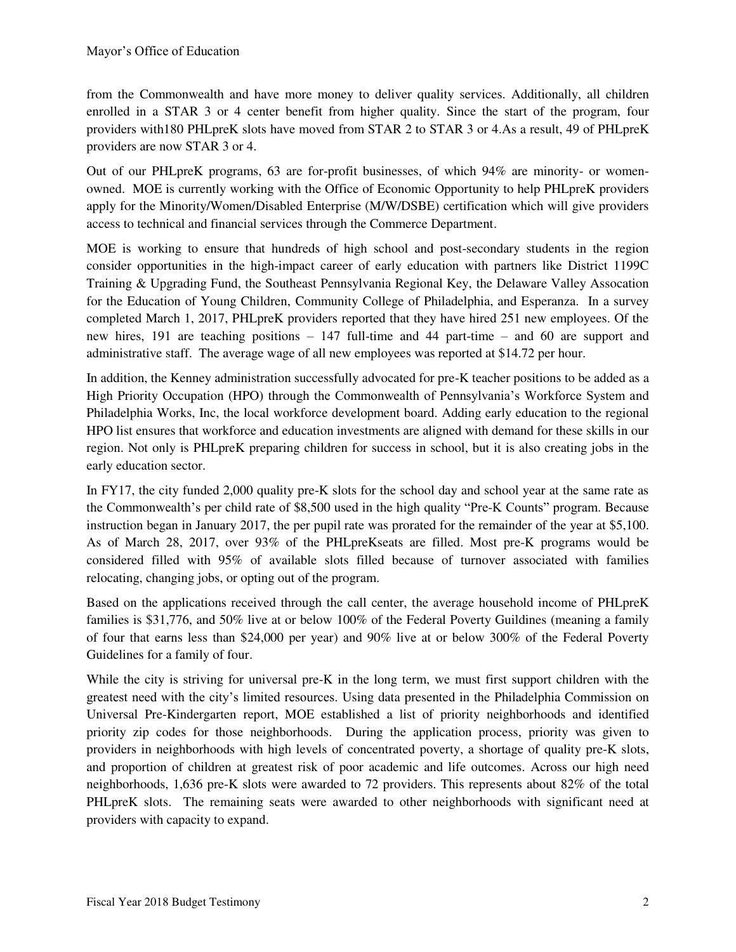from the Commonwealth and have more money to deliver quality services. Additionally, all children enrolled in a STAR 3 or 4 center benefit from higher quality. Since the start of the program, four providers with180 PHLpreK slots have moved from STAR 2 to STAR 3 or 4.As a result, 49 of PHLpreK providers are now STAR 3 or 4.

Out of our PHLpreK programs, 63 are for-profit businesses, of which 94% are minority- or womenowned. MOE is currently working with the Office of Economic Opportunity to help PHLpreK providers apply for the Minority/Women/Disabled Enterprise (M/W/DSBE) certification which will give providers access to technical and financial services through the Commerce Department.

MOE is working to ensure that hundreds of high school and post-secondary students in the region consider opportunities in the high-impact career of early education with partners like District 1199C Training & Upgrading Fund, the Southeast Pennsylvania Regional Key, the Delaware Valley Assocation for the Education of Young Children, Community College of Philadelphia, and Esperanza. In a survey completed March 1, 2017, PHLpreK providers reported that they have hired 251 new employees. Of the new hires, 191 are teaching positions – 147 full-time and 44 part-time – and 60 are support and administrative staff. The average wage of all new employees was reported at \$14.72 per hour.

In addition, the Kenney administration successfully advocated for pre-K teacher positions to be added as a High Priority Occupation (HPO) through the Commonwealth of Pennsylvania's Workforce System and Philadelphia Works, Inc, the local workforce development board. Adding early education to the regional HPO list ensures that workforce and education investments are aligned with demand for these skills in our region. Not only is PHLpreK preparing children for success in school, but it is also creating jobs in the early education sector.

In FY17, the city funded 2,000 quality pre-K slots for the school day and school year at the same rate as the Commonwealth's per child rate of \$8,500 used in the high quality "Pre-K Counts" program. Because instruction began in January 2017, the per pupil rate was prorated for the remainder of the year at \$5,100. As of March 28, 2017, over 93% of the PHLpreKseats are filled. Most pre-K programs would be considered filled with 95% of available slots filled because of turnover associated with families relocating, changing jobs, or opting out of the program.

Based on the applications received through the call center, the average household income of PHLpreK families is \$31,776, and 50% live at or below 100% of the Federal Poverty Guildines (meaning a family of four that earns less than \$24,000 per year) and 90% live at or below 300% of the Federal Poverty Guidelines for a family of four.

While the city is striving for universal pre-K in the long term, we must first support children with the greatest need with the city's limited resources. Using data presented in the Philadelphia Commission on Universal Pre-Kindergarten report, MOE established a list of priority neighborhoods and identified priority zip codes for those neighborhoods. During the application process, priority was given to providers in neighborhoods with high levels of concentrated poverty, a shortage of quality pre-K slots, and proportion of children at greatest risk of poor academic and life outcomes. Across our high need neighborhoods, 1,636 pre-K slots were awarded to 72 providers. This represents about 82% of the total PHLpreK slots. The remaining seats were awarded to other neighborhoods with significant need at providers with capacity to expand.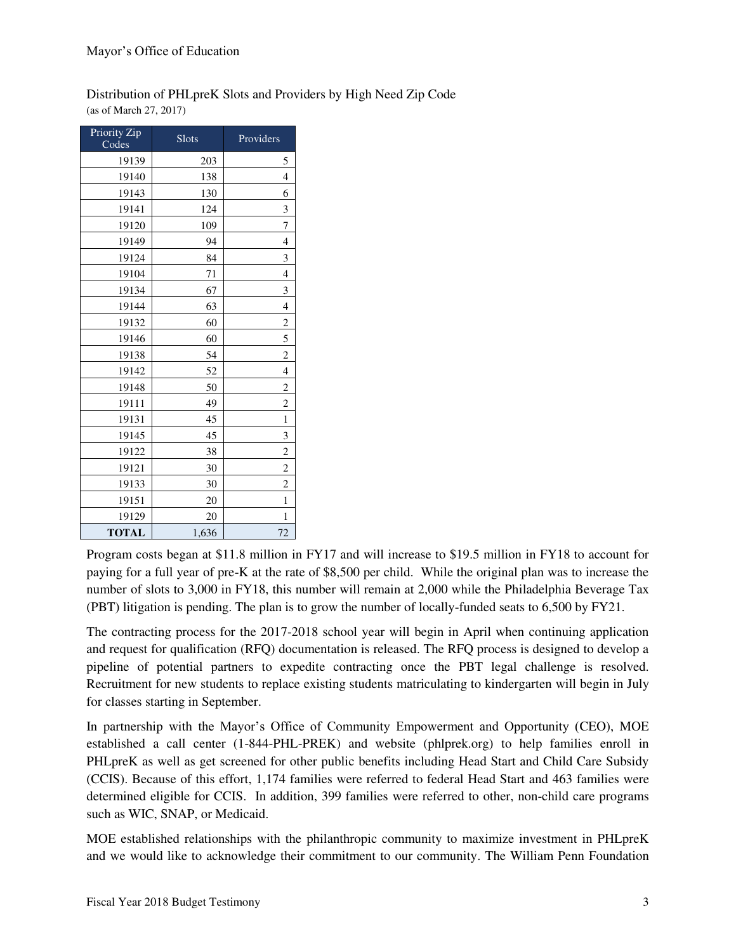#### Distribution of PHLpreK Slots and Providers by High Need Zip Code (as of March 27, 2017)

| Priority Zip<br>Codes | $S$ lots | Providers               |
|-----------------------|----------|-------------------------|
| 19139                 | 203      | 5                       |
| 19140                 | 138      | 4                       |
| 19143                 | 130      | 6                       |
| 19141                 | 124      | 3                       |
| 19120                 | 109      | 7                       |
| 19149                 | 94       | 4                       |
| 19124                 | 84       | 3                       |
| 19104                 | 71       | 4                       |
| 19134                 | 67       | 3                       |
| 19144                 | 63       | 4                       |
| 19132                 | 60       | $\overline{c}$          |
| 19146                 | 60       | 5                       |
| 19138                 | 54       | $\overline{c}$          |
| 19142                 | 52       | $\overline{4}$          |
| 19148                 | 50       | $\overline{c}$          |
| 19111                 | 49       | $\overline{2}$          |
| 19131                 | 45       | 1                       |
| 19145                 | 45       | 3                       |
| 19122                 | 38       | $\overline{c}$          |
| 19121                 | 30       | $\overline{\mathbf{c}}$ |
| 19133                 | 30       | $\overline{c}$          |
| 19151                 | 20       | 1                       |
| 19129                 | 20       | 1                       |
| <b>TOTAL</b>          | 1,636    | 72                      |

Program costs began at \$11.8 million in FY17 and will increase to \$19.5 million in FY18 to account for paying for a full year of pre-K at the rate of \$8,500 per child. While the original plan was to increase the number of slots to 3,000 in FY18, this number will remain at 2,000 while the Philadelphia Beverage Tax (PBT) litigation is pending. The plan is to grow the number of locally-funded seats to 6,500 by FY21.

The contracting process for the 2017-2018 school year will begin in April when continuing application and request for qualification (RFQ) documentation is released. The RFQ process is designed to develop a pipeline of potential partners to expedite contracting once the PBT legal challenge is resolved. Recruitment for new students to replace existing students matriculating to kindergarten will begin in July for classes starting in September.

In partnership with the Mayor's Office of Community Empowerment and Opportunity (CEO), MOE established a call center (1-844-PHL-PREK) and website (phlprek.org) to help families enroll in PHLpreK as well as get screened for other public benefits including Head Start and Child Care Subsidy (CCIS). Because of this effort, 1,174 families were referred to federal Head Start and 463 families were determined eligible for CCIS. In addition, 399 families were referred to other, non-child care programs such as WIC, SNAP, or Medicaid.

MOE established relationships with the philanthropic community to maximize investment in PHLpreK and we would like to acknowledge their commitment to our community. The William Penn Foundation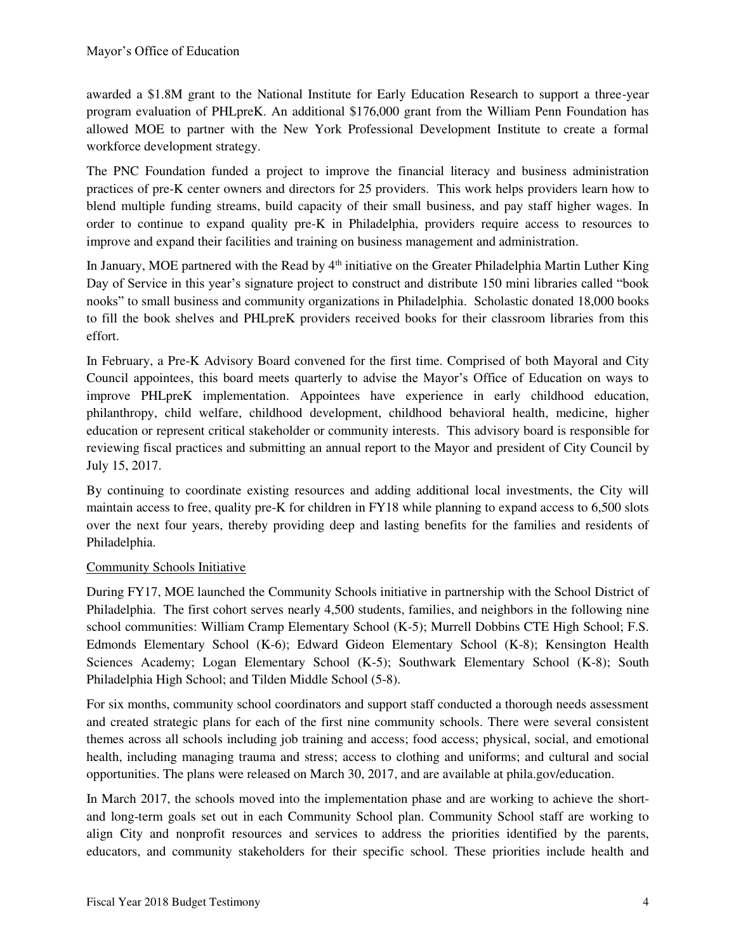awarded a \$1.8M grant to the National Institute for Early Education Research to support a three-year program evaluation of PHLpreK. An additional \$176,000 grant from the William Penn Foundation has allowed MOE to partner with the New York Professional Development Institute to create a formal workforce development strategy.

The PNC Foundation funded a project to improve the financial literacy and business administration practices of pre-K center owners and directors for 25 providers. This work helps providers learn how to blend multiple funding streams, build capacity of their small business, and pay staff higher wages. In order to continue to expand quality pre-K in Philadelphia, providers require access to resources to improve and expand their facilities and training on business management and administration.

In January, MOE partnered with the Read by  $4<sup>th</sup>$  initiative on the Greater Philadelphia Martin Luther King Day of Service in this year's signature project to construct and distribute 150 mini libraries called "book nooks" to small business and community organizations in Philadelphia. Scholastic donated 18,000 books to fill the book shelves and PHLpreK providers received books for their classroom libraries from this effort.

In February, a Pre-K Advisory Board convened for the first time. Comprised of both Mayoral and City Council appointees, this board meets quarterly to advise the Mayor's Office of Education on ways to improve PHLpreK implementation. Appointees have experience in early childhood education, philanthropy, child welfare, childhood development, childhood behavioral health, medicine, higher education or represent critical stakeholder or community interests. This advisory board is responsible for reviewing fiscal practices and submitting an annual report to the Mayor and president of City Council by July 15, 2017.

By continuing to coordinate existing resources and adding additional local investments, the City will maintain access to free, quality pre-K for children in FY18 while planning to expand access to 6,500 slots over the next four years, thereby providing deep and lasting benefits for the families and residents of Philadelphia.

# Community Schools Initiative

During FY17, MOE launched the Community Schools initiative in partnership with the School District of Philadelphia. The first cohort serves nearly 4,500 students, families, and neighbors in the following nine school communities: William Cramp Elementary School (K-5); Murrell Dobbins CTE High School; F.S. Edmonds Elementary School (K-6); Edward Gideon Elementary School (K-8); Kensington Health Sciences Academy; Logan Elementary School (K-5); Southwark Elementary School (K-8); South Philadelphia High School; and Tilden Middle School (5-8).

For six months, community school coordinators and support staff conducted a thorough needs assessment and created strategic plans for each of the first nine community schools. There were several consistent themes across all schools including job training and access; food access; physical, social, and emotional health, including managing trauma and stress; access to clothing and uniforms; and cultural and social opportunities. The plans were released on March 30, 2017, and are available at phila.gov/education.

In March 2017, the schools moved into the implementation phase and are working to achieve the shortand long-term goals set out in each Community School plan. Community School staff are working to align City and nonprofit resources and services to address the priorities identified by the parents, educators, and community stakeholders for their specific school. These priorities include health and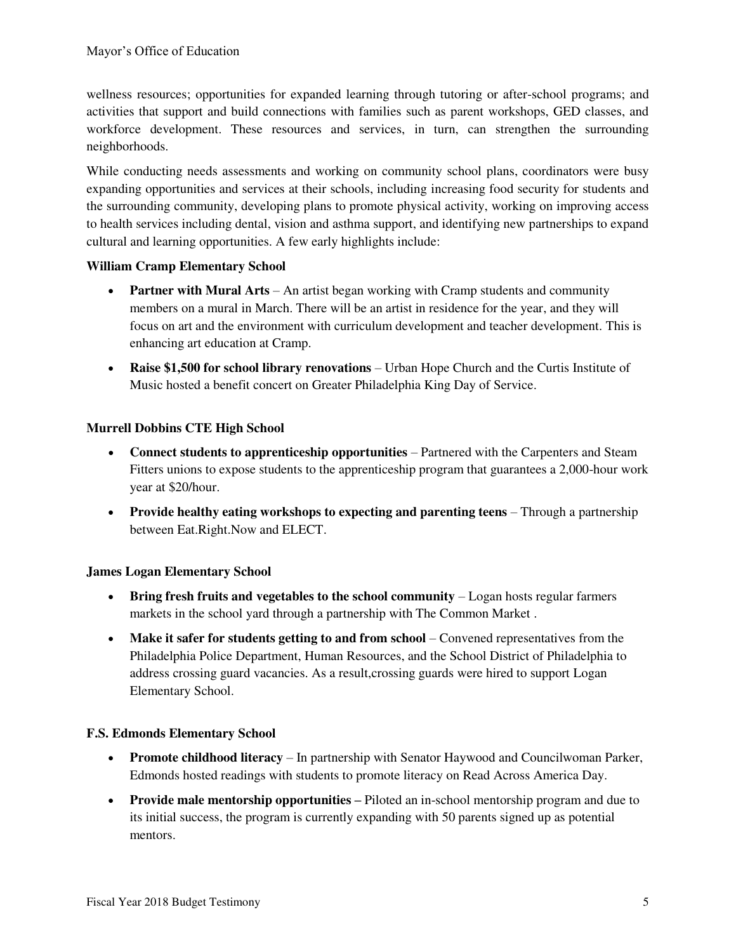wellness resources; opportunities for expanded learning through tutoring or after-school programs; and activities that support and build connections with families such as parent workshops, GED classes, and workforce development. These resources and services, in turn, can strengthen the surrounding neighborhoods.

While conducting needs assessments and working on community school plans, coordinators were busy expanding opportunities and services at their schools, including increasing food security for students and the surrounding community, developing plans to promote physical activity, working on improving access to health services including dental, vision and asthma support, and identifying new partnerships to expand cultural and learning opportunities. A few early highlights include:

### **William Cramp Elementary School**

- **Partner with Mural Arts** An artist began working with Cramp students and community members on a mural in March. There will be an artist in residence for the year, and they will focus on art and the environment with curriculum development and teacher development. This is enhancing art education at Cramp.
- **Raise \$1,500 for school library renovations** Urban Hope Church and the Curtis Institute of Music hosted a benefit concert on Greater Philadelphia King Day of Service.

# **Murrell Dobbins CTE High School**

- **Connect students to apprenticeship opportunities** Partnered with the Carpenters and Steam Fitters unions to expose students to the apprenticeship program that guarantees a 2,000-hour work year at \$20/hour.
- **Provide healthy eating workshops to expecting and parenting teens** Through a partnership between Eat.Right.Now and ELECT.

### **James Logan Elementary School**

- **Bring fresh fruits and vegetables to the school community** Logan hosts regular farmers markets in the school yard through a partnership with The Common Market .
- **Make it safer for students getting to and from school** Convened representatives from the Philadelphia Police Department, Human Resources, and the School District of Philadelphia to address crossing guard vacancies. As a result,crossing guards were hired to support Logan Elementary School.

### **F.S. Edmonds Elementary School**

- **Promote childhood literacy** In partnership with Senator Haywood and Councilwoman Parker, Edmonds hosted readings with students to promote literacy on Read Across America Day.
- Provide male mentorship opportunities Piloted an in-school mentorship program and due to its initial success, the program is currently expanding with 50 parents signed up as potential mentors.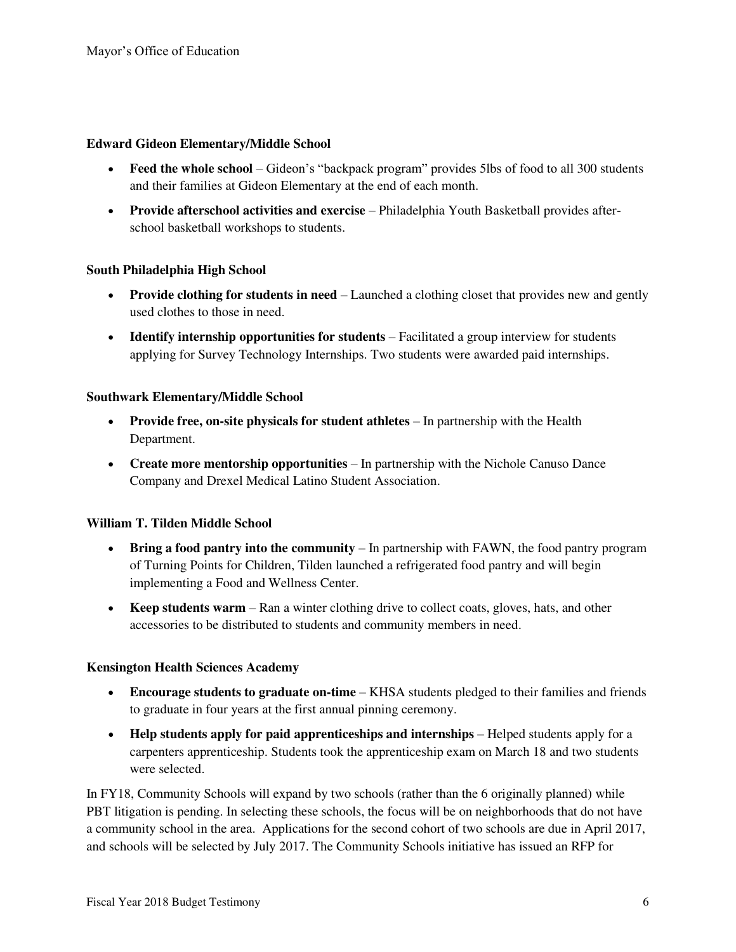#### **Edward Gideon Elementary/Middle School**

- **Feed the whole school** Gideon's "backpack program" provides 5lbs of food to all 300 students and their families at Gideon Elementary at the end of each month.
- **Provide afterschool activities and exercise** Philadelphia Youth Basketball provides afterschool basketball workshops to students.

### **South Philadelphia High School**

- **Provide clothing for students in need**  Launched a clothing closet that provides new and gently used clothes to those in need.
- Identify internship opportunities for students Facilitated a group interview for students applying for Survey Technology Internships. Two students were awarded paid internships.

#### **Southwark Elementary/Middle School**

- **Provide free, on-site physicals for student athletes** In partnership with the Health Department.
- **Create more mentorship opportunities**  In partnership with the Nichole Canuso Dance Company and Drexel Medical Latino Student Association.

#### **William T. Tilden Middle School**

- Bring a food pantry into the community In partnership with FAWN, the food pantry program of Turning Points for Children, Tilden launched a refrigerated food pantry and will begin implementing a Food and Wellness Center.
- **Keep students warm**  Ran a winter clothing drive to collect coats, gloves, hats, and other accessories to be distributed to students and community members in need.

### **Kensington Health Sciences Academy**

- **Encourage students to graduate on-time**  KHSA students pledged to their families and friends to graduate in four years at the first annual pinning ceremony.
- Help students apply for paid apprenticeships and internships Helped students apply for a carpenters apprenticeship. Students took the apprenticeship exam on March 18 and two students were selected.

In FY18, Community Schools will expand by two schools (rather than the 6 originally planned) while PBT litigation is pending. In selecting these schools, the focus will be on neighborhoods that do not have a community school in the area. Applications for the second cohort of two schools are due in April 2017, and schools will be selected by July 2017. The Community Schools initiative has issued an RFP for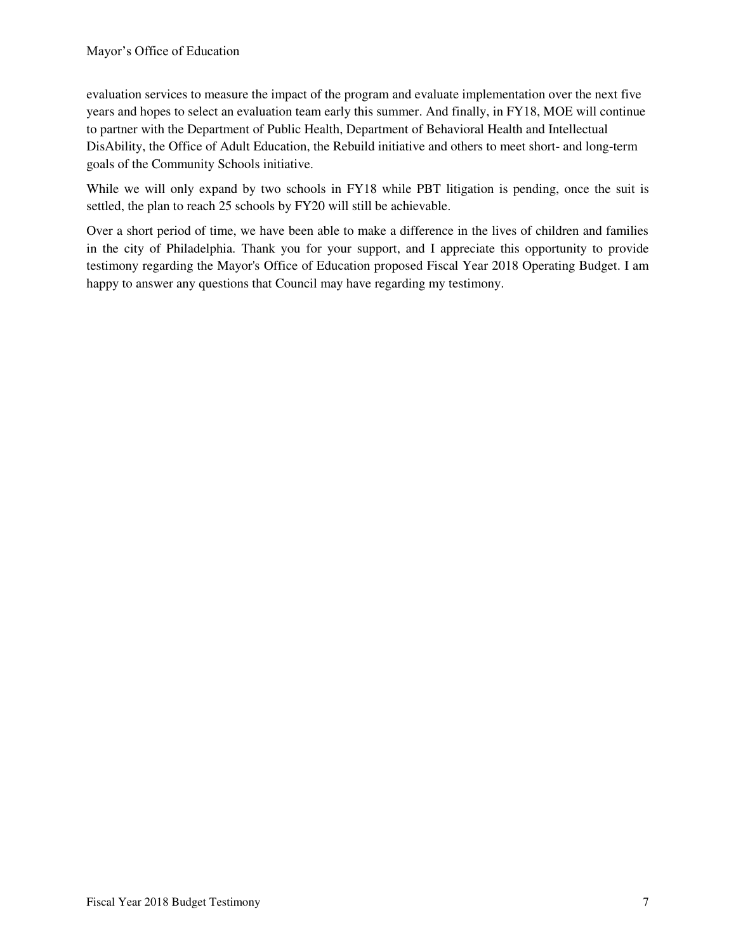evaluation services to measure the impact of the program and evaluate implementation over the next five years and hopes to select an evaluation team early this summer. And finally, in FY18, MOE will continue to partner with the Department of Public Health, Department of Behavioral Health and Intellectual DisAbility, the Office of Adult Education, the Rebuild initiative and others to meet short- and long-term goals of the Community Schools initiative.

While we will only expand by two schools in FY18 while PBT litigation is pending, once the suit is settled, the plan to reach 25 schools by FY20 will still be achievable.

Over a short period of time, we have been able to make a difference in the lives of children and families in the city of Philadelphia. Thank you for your support, and I appreciate this opportunity to provide testimony regarding the Mayor's Office of Education proposed Fiscal Year 2018 Operating Budget. I am happy to answer any questions that Council may have regarding my testimony.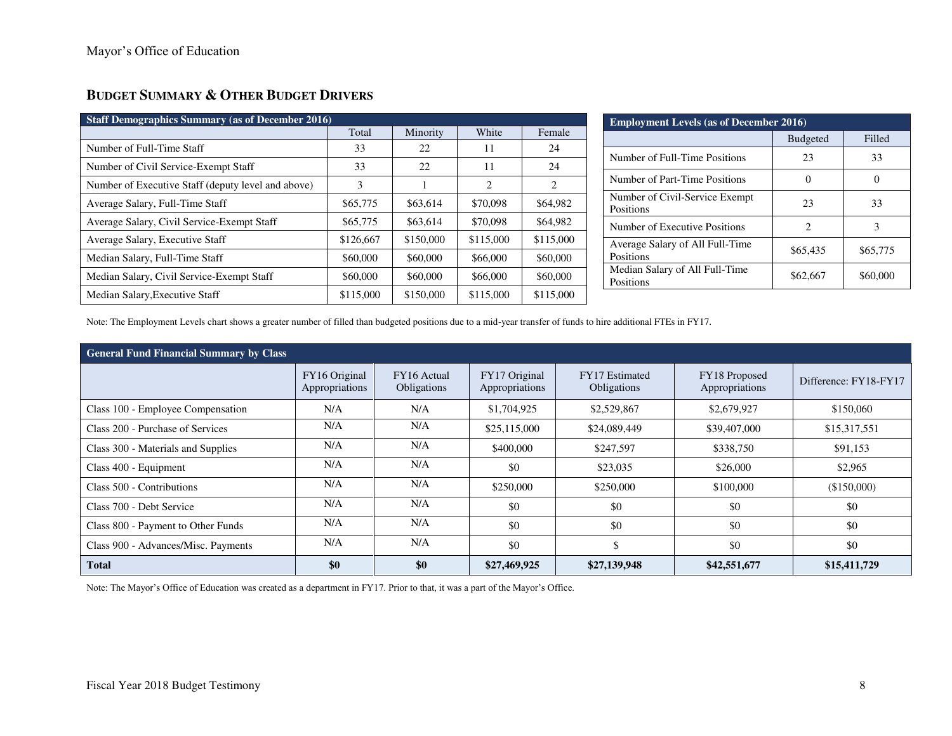# **BUDGET SUMMARY & OTHER BUDGET DRIVERS**

| <b>Staff Demographics Summary (as of December 2016)</b> |           |           |           |           |  |  |  |  |
|---------------------------------------------------------|-----------|-----------|-----------|-----------|--|--|--|--|
|                                                         | Total     | Minority  | White     | Female    |  |  |  |  |
| Number of Full-Time Staff                               | 33        | 22        | 11        | 24        |  |  |  |  |
| Number of Civil Service-Exempt Staff                    | 33        | 22        | 11        | 24        |  |  |  |  |
| Number of Executive Staff (deputy level and above)      | 3         |           | 2         | 2         |  |  |  |  |
| Average Salary, Full-Time Staff                         | \$65,775  | \$63,614  | \$70,098  | \$64,982  |  |  |  |  |
| Average Salary, Civil Service-Exempt Staff              | \$65,775  | \$63,614  | \$70,098  | \$64,982  |  |  |  |  |
| Average Salary, Executive Staff                         | \$126,667 | \$150,000 | \$115,000 | \$115,000 |  |  |  |  |
| Median Salary, Full-Time Staff                          | \$60,000  | \$60,000  | \$66,000  | \$60,000  |  |  |  |  |
| Median Salary, Civil Service-Exempt Staff               | \$60,000  | \$60,000  | \$66,000  | \$60,000  |  |  |  |  |
| Median Salary, Executive Staff                          | \$115,000 | \$150,000 | \$115,000 | \$115,000 |  |  |  |  |

| <b>Employment Levels (as of December 2016)</b> |                 |                   |  |  |  |  |
|------------------------------------------------|-----------------|-------------------|--|--|--|--|
|                                                | <b>Budgeted</b> | Filled            |  |  |  |  |
| Number of Full-Time Positions                  | 23              | 33                |  |  |  |  |
| Number of Part-Time Positions                  |                 | $\mathbf{\Omega}$ |  |  |  |  |
| Number of Civil-Service Exempt<br>Positions    | 23              | 33                |  |  |  |  |
| Number of Executive Positions                  | 2               | 3                 |  |  |  |  |
| Average Salary of All Full-Time<br>Positions   | \$65,435        | \$65,775          |  |  |  |  |
| Median Salary of All Full-Time<br>Positions    | \$62,667        | \$60,000          |  |  |  |  |

Note: The Employment Levels chart shows a greater number of filled than budgeted positions due to a mid-year transfer of funds to hire additional FTEs in FY17*.*

| <b>General Fund Financial Summary by Class</b> |                                 |                            |                                 |                                             |                                 |                       |  |  |
|------------------------------------------------|---------------------------------|----------------------------|---------------------------------|---------------------------------------------|---------------------------------|-----------------------|--|--|
|                                                | FY16 Original<br>Appropriations | FY16 Actual<br>Obligations | FY17 Original<br>Appropriations | <b>FY17</b> Estimated<br><b>Obligations</b> | FY18 Proposed<br>Appropriations | Difference: FY18-FY17 |  |  |
| Class 100 - Employee Compensation              | N/A                             | N/A                        | \$1,704,925                     | \$2,529,867                                 | \$2,679,927                     | \$150,060             |  |  |
| Class 200 - Purchase of Services               | N/A                             | N/A                        | \$25,115,000                    | \$24,089,449                                | \$39,407,000                    | \$15,317,551          |  |  |
| Class 300 - Materials and Supplies             | N/A                             | N/A                        | \$400,000                       | \$247,597                                   | \$338,750                       | \$91,153              |  |  |
| Class 400 - Equipment                          | N/A                             | N/A                        | \$0                             | \$23,035                                    | \$26,000                        | \$2,965               |  |  |
| Class 500 - Contributions                      | N/A                             | N/A                        | \$250,000                       | \$250,000                                   | \$100,000                       | (\$150,000)           |  |  |
| Class 700 - Debt Service                       | N/A                             | N/A                        | \$0                             | \$0                                         | \$0                             | \$0                   |  |  |
| Class 800 - Payment to Other Funds             | N/A                             | N/A                        | \$0                             | \$0                                         | \$0                             | \$0                   |  |  |
| Class 900 - Advances/Misc. Payments            | N/A                             | N/A                        | \$0                             | \$                                          | \$0                             | \$0                   |  |  |
| <b>Total</b>                                   | $\$0$                           | \$0                        | \$27,469,925                    | \$27,139,948                                | \$42,551,677                    | \$15,411,729          |  |  |

Note: The Mayor's Office of Education was created as a department in FY17. Prior to that, it was a part of the Mayor's Office.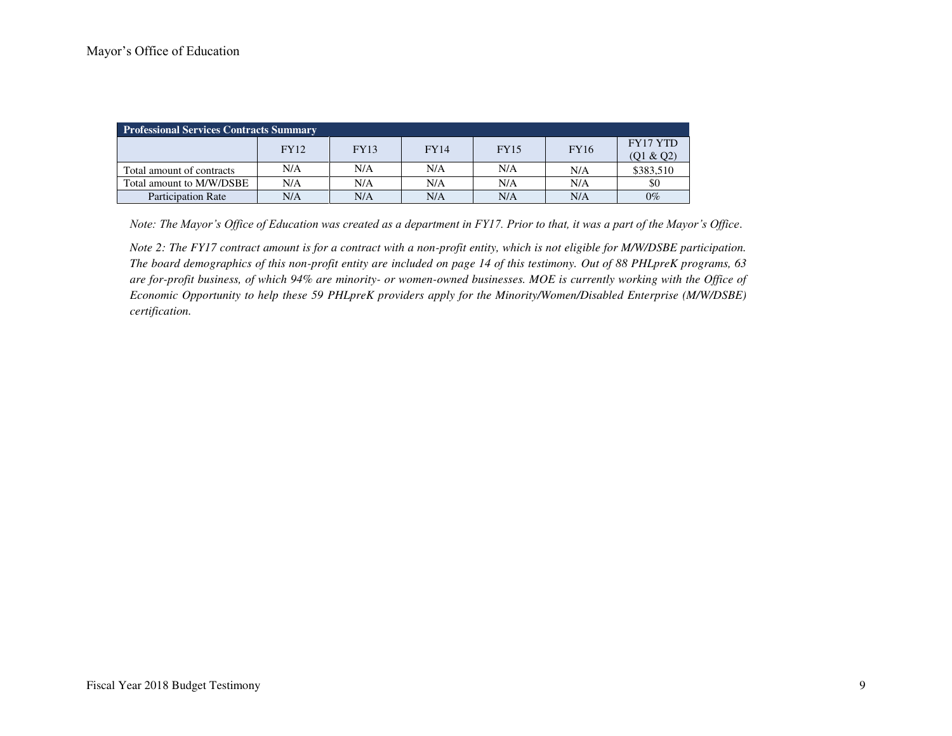| <b>Professional Services Contracts Summary</b> |             |             |             |             |             |           |  |  |
|------------------------------------------------|-------------|-------------|-------------|-------------|-------------|-----------|--|--|
|                                                | <b>FY12</b> | <b>FY13</b> | <b>FY14</b> | <b>FY15</b> | <b>FY16</b> | FY17 YTD  |  |  |
|                                                |             |             |             |             |             | (Q1 & Q2) |  |  |
| Total amount of contracts                      | N/A         | N/A         | N/A         | N/A         | N/A         | \$383,510 |  |  |
| Total amount to M/W/DSBE                       | N/A         | N/A         | N/A         | N/A         | N/A         | \$0       |  |  |
| <b>Participation Rate</b>                      | N/A         | N/A         | N/A         | N/A         | N/A         | $0\%$     |  |  |

*Note: The Mayor's Office of Education was created as a department in FY17. Prior to that, it was a part of the Mayor's Office.* 

*Note 2: The FY17 contract amount is for a contract with a non-profit entity, which is not eligible for M/W/DSBE participation. The board demographics of this non-profit entity are included on page 14 of this testimony. Out of 88 PHLpreK programs, 63 are for-profit business, of which 94% are minority- or women-owned businesses. MOE is currently working with the Office of Economic Opportunity to help these 59 PHLpreK providers apply for the Minority/Women/Disabled Enterprise (M/W/DSBE) certification.*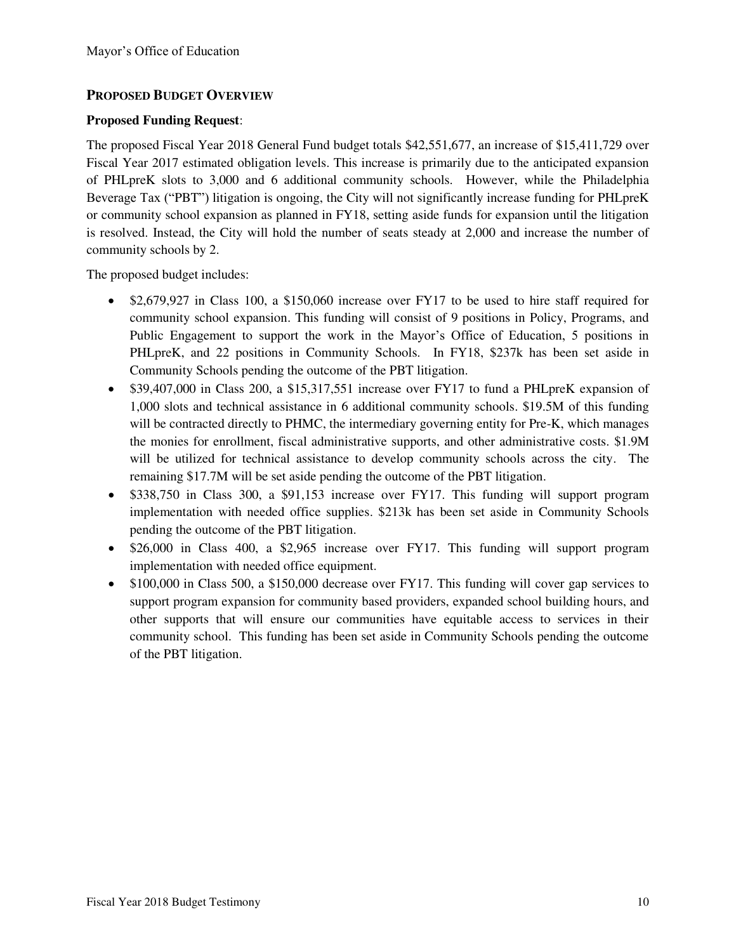### **PROPOSED BUDGET OVERVIEW**

### **Proposed Funding Request**:

The proposed Fiscal Year 2018 General Fund budget totals \$42,551,677, an increase of \$15,411,729 over Fiscal Year 2017 estimated obligation levels. This increase is primarily due to the anticipated expansion of PHLpreK slots to 3,000 and 6 additional community schools. However, while the Philadelphia Beverage Tax ("PBT") litigation is ongoing, the City will not significantly increase funding for PHLpreK or community school expansion as planned in FY18, setting aside funds for expansion until the litigation is resolved. Instead, the City will hold the number of seats steady at 2,000 and increase the number of community schools by 2.

The proposed budget includes:

- \$2,679,927 in Class 100, a \$150,060 increase over FY17 to be used to hire staff required for community school expansion. This funding will consist of 9 positions in Policy, Programs, and Public Engagement to support the work in the Mayor's Office of Education, 5 positions in PHLpreK, and 22 positions in Community Schools. In FY18, \$237k has been set aside in Community Schools pending the outcome of the PBT litigation.
- \$39,407,000 in Class 200, a \$15,317,551 increase over FY17 to fund a PHLpreK expansion of 1,000 slots and technical assistance in 6 additional community schools. \$19.5M of this funding will be contracted directly to PHMC, the intermediary governing entity for Pre-K, which manages the monies for enrollment, fiscal administrative supports, and other administrative costs. \$1.9M will be utilized for technical assistance to develop community schools across the city. The remaining \$17.7M will be set aside pending the outcome of the PBT litigation.
- \$338,750 in Class 300, a \$91,153 increase over FY17. This funding will support program implementation with needed office supplies. \$213k has been set aside in Community Schools pending the outcome of the PBT litigation.
- \$26,000 in Class 400, a \$2,965 increase over FY17. This funding will support program implementation with needed office equipment.
- \$100,000 in Class 500, a \$150,000 decrease over FY17. This funding will cover gap services to support program expansion for community based providers, expanded school building hours, and other supports that will ensure our communities have equitable access to services in their community school. This funding has been set aside in Community Schools pending the outcome of the PBT litigation.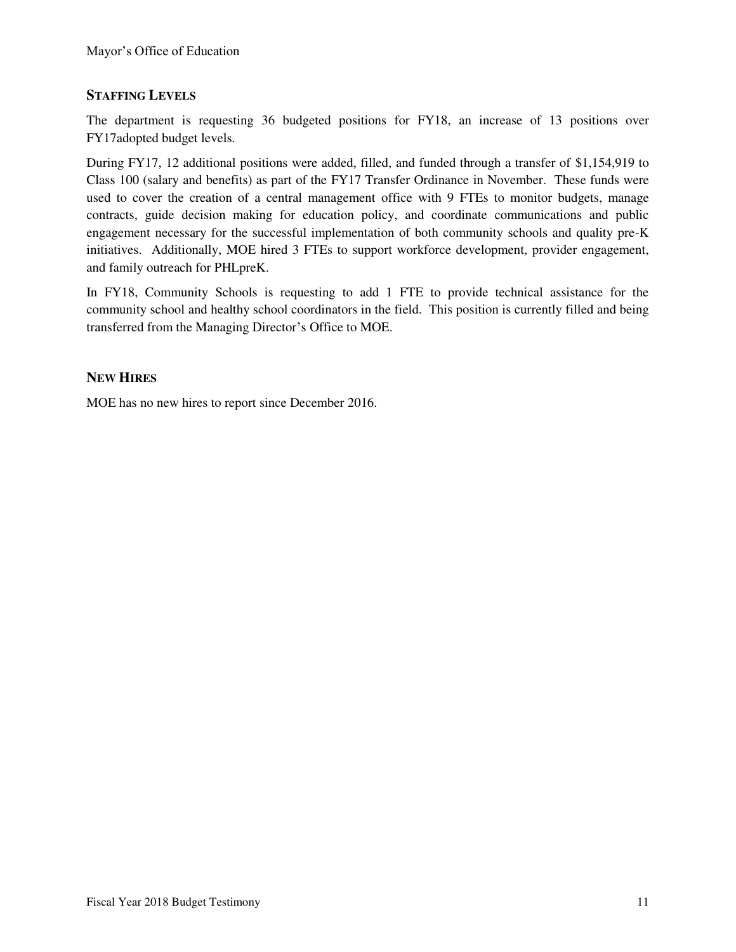### **STAFFING LEVELS**

The department is requesting 36 budgeted positions for FY18, an increase of 13 positions over FY17adopted budget levels.

During FY17, 12 additional positions were added, filled, and funded through a transfer of \$1,154,919 to Class 100 (salary and benefits) as part of the FY17 Transfer Ordinance in November. These funds were used to cover the creation of a central management office with 9 FTEs to monitor budgets, manage contracts, guide decision making for education policy, and coordinate communications and public engagement necessary for the successful implementation of both community schools and quality pre-K initiatives. Additionally, MOE hired 3 FTEs to support workforce development, provider engagement, and family outreach for PHLpreK.

In FY18, Community Schools is requesting to add 1 FTE to provide technical assistance for the community school and healthy school coordinators in the field. This position is currently filled and being transferred from the Managing Director's Office to MOE.

### **NEW HIRES**

MOE has no new hires to report since December 2016.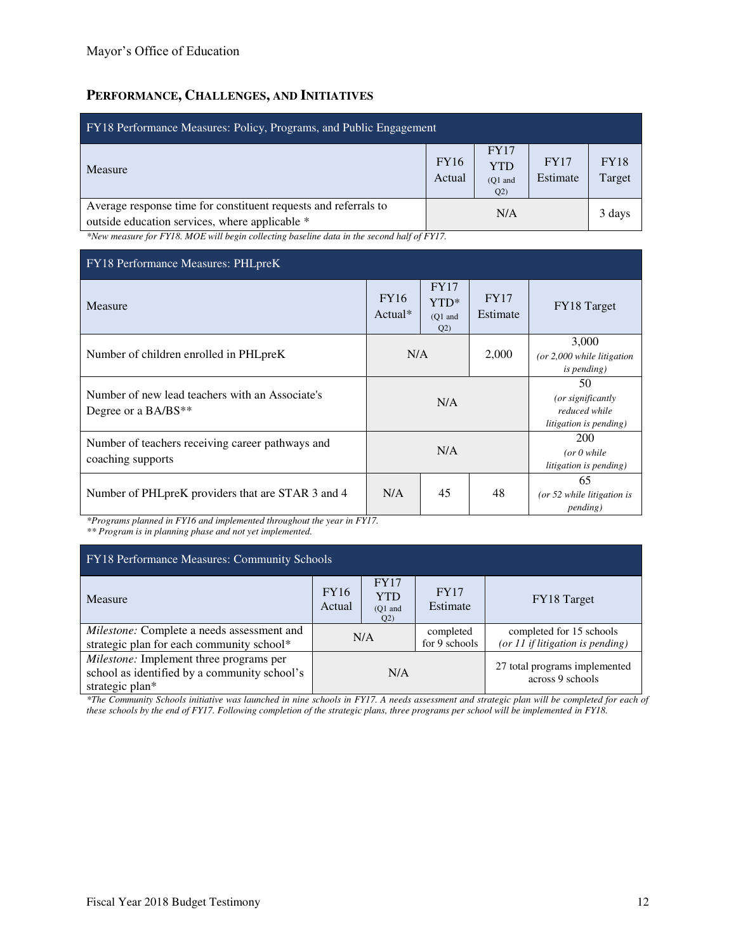# **PERFORMANCE, CHALLENGES, AND INITIATIVES**

| FY18 Performance Measures: Policy, Programs, and Public Engagement                                                                               |                         |                                               |                         |                       |  |  |  |
|--------------------------------------------------------------------------------------------------------------------------------------------------|-------------------------|-----------------------------------------------|-------------------------|-----------------------|--|--|--|
| <b>Measure</b>                                                                                                                                   | <b>FY16</b><br>Actual   | <b>FY17</b><br><b>YTD</b><br>$(O1$ and<br>Q2) | <b>FY17</b><br>Estimate | <b>FY18</b><br>Target |  |  |  |
| Average response time for constituent requests and referrals to<br>outside education services, where applicable *<br>$\sim$ $\sim$ $\sim$ $\sim$ | N/A<br>$11.100$ $27.17$ |                                               |                         | 3 days                |  |  |  |

*\*New measure for FY18. MOE will begin collecting baseline data in the second half of FY17.* 

| FY18 Performance Measures: PHLpreK                                       |                          |                                         |                                                                    |                                                              |  |  |  |
|--------------------------------------------------------------------------|--------------------------|-----------------------------------------|--------------------------------------------------------------------|--------------------------------------------------------------|--|--|--|
| Measure                                                                  | <b>FY16</b><br>$Actual*$ | <b>FY17</b><br>YTD*<br>$(O1$ and<br>Q2) | <b>FY17</b><br>Estimate                                            | FY18 Target                                                  |  |  |  |
| Number of children enrolled in PHL preK                                  | N/A                      |                                         | 2,000                                                              | 3.000<br>(or $2,000$ while litigation<br><i>is pending</i> ) |  |  |  |
| Number of new lead teachers with an Associate's<br>Degree or a $BA/BS**$ |                          | N/A                                     | 50<br>(or significantly<br>reduced while<br>litigation is pending) |                                                              |  |  |  |
| Number of teachers receiving career pathways and<br>coaching supports    |                          | N/A                                     | 200<br>(or 0 while<br>litigation is pending)                       |                                                              |  |  |  |
| Number of PHLpreK providers that are STAR 3 and 4                        | N/A                      | 45                                      | 48                                                                 | 65<br>(or 52 while litigation is<br><i>pending</i> )         |  |  |  |

*\*Programs planned in FY16 and implemented throughout the year in FY17.* 

*\*\* Program is in planning phase and not yet implemented.*

| FY18 Performance Measures: Community Schools                                                                      |                       |                                                   |                            |                                                                |  |  |
|-------------------------------------------------------------------------------------------------------------------|-----------------------|---------------------------------------------------|----------------------------|----------------------------------------------------------------|--|--|
| <b>Measure</b>                                                                                                    | <b>FY16</b><br>Actual | FY17<br><b>YTD</b><br>$(O1$ and<br>Q <sub>2</sub> | FY17<br>Estimate           | FY18 Target                                                    |  |  |
| Milestone: Complete a needs assessment and<br>strategic plan for each community school*                           | N/A                   |                                                   | completed<br>for 9 schools | completed for 15 schools<br>(or $11$ if litigation is pending) |  |  |
| <i>Milestone:</i> Implement three programs per<br>school as identified by a community school's<br>strategic plan* | N/A                   |                                                   |                            | 27 total programs implemented<br>across 9 schools              |  |  |

*\*The Community Schools initiative was launched in nine schools in FY17. A needs assessment and strategic plan will be completed for each of these schools by the end of FY17. Following completion of the strategic plans, three programs per school will be implemented in FY18.*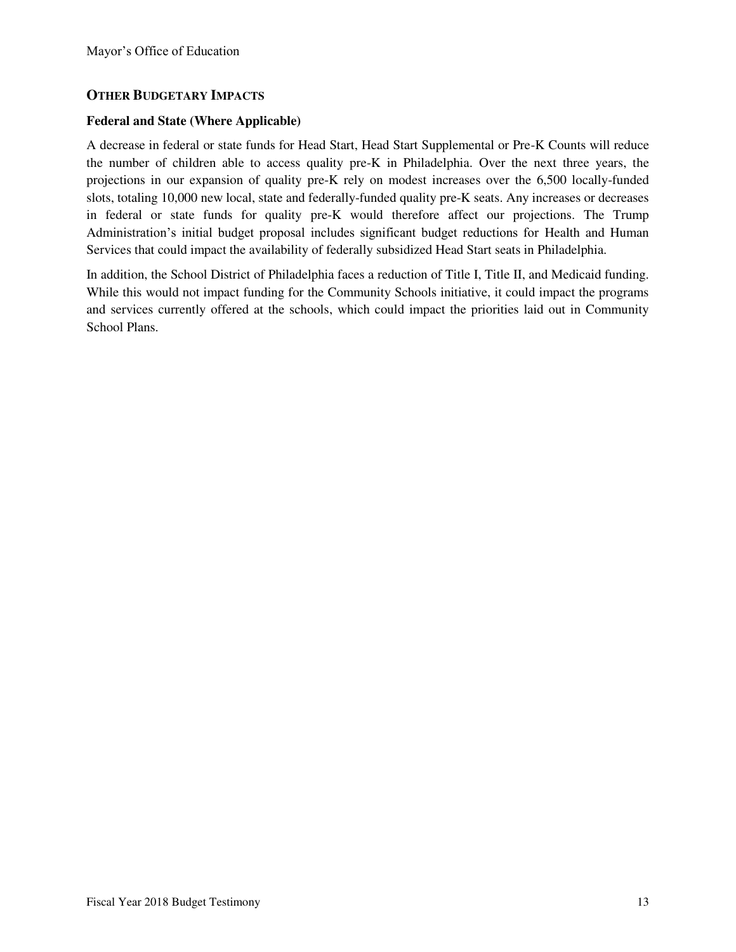### **OTHER BUDGETARY IMPACTS**

#### **Federal and State (Where Applicable)**

A decrease in federal or state funds for Head Start, Head Start Supplemental or Pre-K Counts will reduce the number of children able to access quality pre-K in Philadelphia. Over the next three years, the projections in our expansion of quality pre-K rely on modest increases over the 6,500 locally-funded slots, totaling 10,000 new local, state and federally-funded quality pre-K seats. Any increases or decreases in federal or state funds for quality pre-K would therefore affect our projections. The Trump Administration's initial budget proposal includes significant budget reductions for Health and Human Services that could impact the availability of federally subsidized Head Start seats in Philadelphia.

In addition, the School District of Philadelphia faces a reduction of Title I, Title II, and Medicaid funding. While this would not impact funding for the Community Schools initiative, it could impact the programs and services currently offered at the schools, which could impact the priorities laid out in Community School Plans.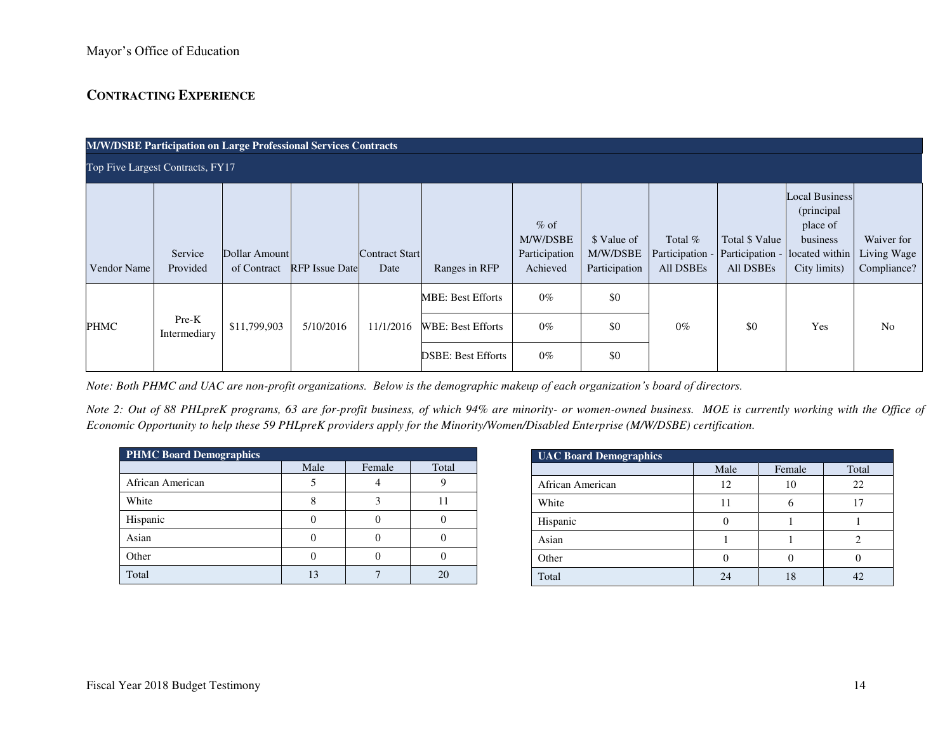# **CONTRACTING EXPERIENCE**

| <b>M/W/DSBE Participation on Large Professional Services Contracts</b> |                       |                              |                       |                               |                                                                                   |                                                 |                                          |                                         |                                                |                                                                                               |                                          |
|------------------------------------------------------------------------|-----------------------|------------------------------|-----------------------|-------------------------------|-----------------------------------------------------------------------------------|-------------------------------------------------|------------------------------------------|-----------------------------------------|------------------------------------------------|-----------------------------------------------------------------------------------------------|------------------------------------------|
| Top Five Largest Contracts, FY17                                       |                       |                              |                       |                               |                                                                                   |                                                 |                                          |                                         |                                                |                                                                                               |                                          |
| Vendor Name                                                            | Service<br>Provided   | Dollar Amount<br>of Contract | <b>RFP</b> Issue Date | <b>Contract Start</b><br>Date | Ranges in RFP                                                                     | $%$ of<br>M/W/DSBE<br>Participation<br>Achieved | \$ Value of<br>M/W/DSBE<br>Participation | Total %<br>Participation -<br>All DSBEs | Total \$ Value<br>Participation -<br>All DSBEs | <b>Local Business</b><br>(principal<br>place of<br>business<br>located within<br>City limits) | Waiver for<br>Living Wage<br>Compliance? |
| PHMC                                                                   | Pre-K<br>Intermediary | \$11,799,903                 | 5/10/2016             | 11/1/2016                     | <b>MBE: Best Efforts</b><br><b>WBE: Best Efforts</b><br><b>DSBE: Best Efforts</b> | $0\%$<br>$0\%$<br>$0\%$                         | \$0<br>\$0<br>\$0                        | $0\%$                                   | \$0                                            | Yes                                                                                           | No                                       |

*Note: Both PHMC and UAC are non-profit organizations. Below is the demographic makeup of each organization's board of directors.* 

*Note 2: Out of 88 PHLpreK programs, 63 are for-profit business, of which 94% are minority- or women-owned business. MOE is currently working with the Office of Economic Opportunity to help these 59 PHLpreK providers apply for the Minority/Women/Disabled Enterprise (M/W/DSBE) certification.* 

| <b>PHMC Board Demographics</b> |      |        |       |  |  |  |  |
|--------------------------------|------|--------|-------|--|--|--|--|
|                                | Male | Female | Total |  |  |  |  |
| African American               |      |        |       |  |  |  |  |
| White                          |      |        |       |  |  |  |  |
| Hispanic                       |      |        |       |  |  |  |  |
| Asian                          |      |        |       |  |  |  |  |
| Other                          |      |        |       |  |  |  |  |
| Total                          |      |        | 20    |  |  |  |  |

| <b>UAC Board Demographics</b> |      |        |       |  |  |  |  |  |
|-------------------------------|------|--------|-------|--|--|--|--|--|
|                               | Male | Female | Total |  |  |  |  |  |
| African American              | 12   | 10     | 22    |  |  |  |  |  |
| White                         | 11   | h      |       |  |  |  |  |  |
| Hispanic                      |      |        |       |  |  |  |  |  |
| Asian                         |      |        |       |  |  |  |  |  |
| Other                         |      |        |       |  |  |  |  |  |
| Total                         | 24   | 18     |       |  |  |  |  |  |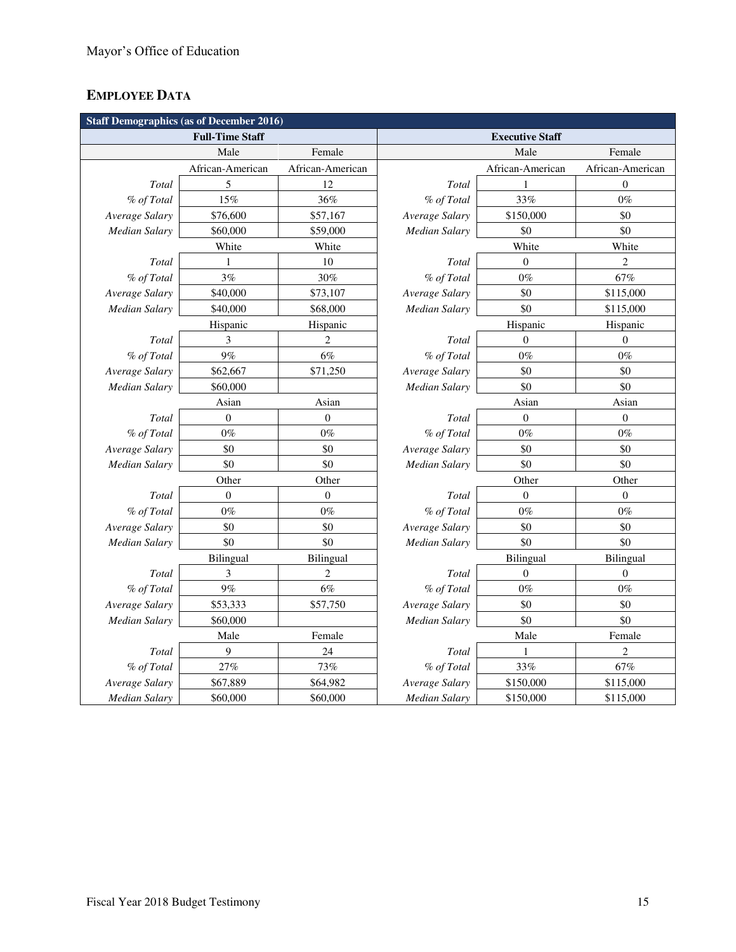# **EMPLOYEE DATA**

| <b>Staff Demographics (as of December 2016)</b> |                        |                  |                      |                        |                  |  |  |
|-------------------------------------------------|------------------------|------------------|----------------------|------------------------|------------------|--|--|
|                                                 | <b>Full-Time Staff</b> |                  |                      | <b>Executive Staff</b> |                  |  |  |
|                                                 | Male                   | Female           |                      | Male                   | Female           |  |  |
|                                                 | African-American       | African-American |                      | African-American       | African-American |  |  |
| Total                                           | 5                      | 12               | Total                |                        | $\overline{0}$   |  |  |
| % of Total                                      | 15%                    | 36%              | % of Total           | 33%                    | $0\%$            |  |  |
| Average Salary                                  | \$76,600               | \$57,167         | Average Salary       | \$150,000              | \$0              |  |  |
| Median Salary                                   | \$60,000               | \$59,000         | Median Salary        | \$0                    | \$0              |  |  |
|                                                 | White                  | White            |                      | White                  | White            |  |  |
| Total                                           | $\mathbf{1}$           | 10               | Total                | $\theta$               | $\overline{2}$   |  |  |
| % of Total                                      | $3\%$                  | 30%              | % of Total           | $0\%$                  | 67%              |  |  |
| Average Salary                                  | \$40,000               | \$73,107         | Average Salary       | \$0                    | \$115,000        |  |  |
| Median Salary                                   | \$40,000               | \$68,000         | Median Salary        | \$0                    | \$115,000        |  |  |
|                                                 | Hispanic               | Hispanic         |                      | Hispanic               | Hispanic         |  |  |
| Total                                           | 3                      | $\overline{c}$   | Total                | $\mathbf{0}$           | $\boldsymbol{0}$ |  |  |
| % of Total                                      | $9\%$                  | $6\%$            | % of Total           | $0\%$                  | $0\%$            |  |  |
| Average Salary                                  | \$62,667               | \$71,250         | Average Salary       | \$0                    | \$0              |  |  |
| <b>Median Salary</b>                            | \$60,000               |                  | <b>Median Salary</b> | \$0                    | \$0              |  |  |
|                                                 | Asian                  | Asian            |                      | Asian                  | Asian            |  |  |
| Total                                           | $\boldsymbol{0}$       | $\boldsymbol{0}$ | Total                | $\boldsymbol{0}$       | $\boldsymbol{0}$ |  |  |
| % of Total                                      | $0\%$                  | $0\%$            | % of Total           | $0\%$                  | $0\%$            |  |  |
| Average Salary                                  | \$0                    | \$0              | Average Salary       | \$0                    | \$0              |  |  |
| Median Salary                                   | \$0                    | \$0              | Median Salary        | \$0                    | \$0              |  |  |
|                                                 | Other                  | Other            |                      | Other                  | Other            |  |  |
| Total                                           | $\boldsymbol{0}$       | $\boldsymbol{0}$ | Total                | $\mathbf{0}$           | $\boldsymbol{0}$ |  |  |
| % of Total                                      | $0\%$                  | $0\%$            | % of Total           | $0\%$                  | $0\%$            |  |  |
| Average Salary                                  | \$0                    | \$0              | Average Salary       | \$0                    | \$0              |  |  |
| Median Salary                                   | \$0                    | \$0              | <b>Median Salary</b> | \$0                    | \$0              |  |  |
|                                                 | Bilingual              | Bilingual        |                      | Bilingual              | Bilingual        |  |  |
| Total                                           | 3                      | $\mathbf{2}$     | Total                | $\boldsymbol{0}$       | $\boldsymbol{0}$ |  |  |
| % of Total                                      | $9\%$                  | 6%               | % of Total           | $0\%$                  | $0\%$            |  |  |
| Average Salary                                  | \$53,333               | \$57,750         | Average Salary       | \$0                    | \$0              |  |  |
| Median Salary                                   | \$60,000               |                  | Median Salary        | \$0                    | \$0              |  |  |
|                                                 | Male                   | Female           |                      | Male                   | Female           |  |  |
| Total                                           | 9                      | 24               | Total                | $\mathbf{1}$           | $\sqrt{2}$       |  |  |
| % of Total                                      | 27%                    | 73%              | % of Total           | 33%                    | $67\%$           |  |  |
| Average Salary                                  | \$67,889               | \$64,982         | Average Salary       | \$150,000              | \$115,000        |  |  |
| Median Salary                                   | \$60,000               | \$60,000         | Median Salary        | \$150,000              | \$115,000        |  |  |